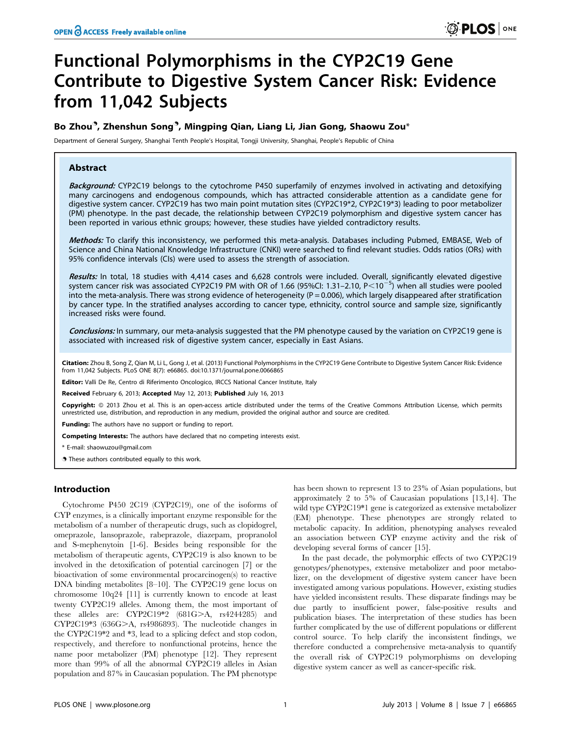# Functional Polymorphisms in the CYP2C19 Gene Contribute to Digestive System Cancer Risk: Evidence from 11,042 Subjects

# Bo Zhou<sup>9</sup>, Zhenshun Song<sup>9</sup>, Mingping Qian, Liang Li, Jian Gong, Shaowu Zou<sup>\*</sup>

Department of General Surgery, Shanghai Tenth People's Hospital, Tongji University, Shanghai, People's Republic of China

# Abstract

Background: CYP2C19 belongs to the cytochrome P450 superfamily of enzymes involved in activating and detoxifying many carcinogens and endogenous compounds, which has attracted considerable attention as a candidate gene for digestive system cancer. CYP2C19 has two main point mutation sites (CYP2C19\*2, CYP2C19\*3) leading to poor metabolizer (PM) phenotype. In the past decade, the relationship between CYP2C19 polymorphism and digestive system cancer has been reported in various ethnic groups; however, these studies have yielded contradictory results.

Methods: To clarify this inconsistency, we performed this meta-analysis. Databases including Pubmed, EMBASE, Web of Science and China National Knowledge Infrastructure (CNKI) were searched to find relevant studies. Odds ratios (ORs) with 95% confidence intervals (CIs) were used to assess the strength of association.

Results: In total, 18 studies with 4,414 cases and 6,628 controls were included. Overall, significantly elevated digestive system cancer risk was associated CYP2C19 PM with OR of 1.66 (95%CI: 1.31–2.10, P<10<sup>-5</sup>) when all studies were pooled into the meta-analysis. There was strong evidence of heterogeneity ( $P = 0.006$ ), which largely disappeared after stratification by cancer type. In the stratified analyses according to cancer type, ethnicity, control source and sample size, significantly increased risks were found.

Conclusions: In summary, our meta-analysis suggested that the PM phenotype caused by the variation on CYP2C19 gene is associated with increased risk of digestive system cancer, especially in East Asians.

Citation: Zhou B, Song Z, Qian M, Li L, Gong J, et al. (2013) Functional Polymorphisms in the CYP2C19 Gene Contribute to Digestive System Cancer Risk: Evidence from 11,042 Subjects. PLoS ONE 8(7): e66865. doi:10.1371/journal.pone.0066865

Editor: Valli De Re, Centro di Riferimento Oncologico, IRCCS National Cancer Institute, Italy

Received February 6, 2013; Accepted May 12, 2013; Published July 16, 2013

Copyright: © 2013 Zhou et al. This is an open-access article distributed under the terms of the Creative Commons Attribution License, which permits unrestricted use, distribution, and reproduction in any medium, provided the original author and source are credited.

Funding: The authors have no support or funding to report.

Competing Interests: The authors have declared that no competing interests exist.

\* E-mail: shaowuzou@gmail.com

. These authors contributed equally to this work.

### Introduction

Cytochrome P450 2C19 (CYP2C19), one of the isoforms of CYP enzymes, is a clinically important enzyme responsible for the metabolism of a number of therapeutic drugs, such as clopidogrel, omeprazole, lansoprazole, rabeprazole, diazepam, propranolol and S-mephenytoin [1-6]. Besides being responsible for the metabolism of therapeutic agents, CYP2C19 is also known to be involved in the detoxification of potential carcinogen [7] or the bioactivation of some environmental procarcinogen(s) to reactive DNA binding metabolites [8–10]. The CYP2C19 gene locus on chromosome 10q24 [11] is currently known to encode at least twenty CYP2C19 alleles. Among them, the most important of these alleles are: CYP2C19\*2 (681G>A, rs4244285) and  $CYP2C19*3$  (636 $G>A$ , rs4986893). The nucleotide changes in the CYP2C19\*2 and \*3, lead to a splicing defect and stop codon, respectively, and therefore to nonfunctional proteins, hence the name poor metabolizer (PM) phenotype [12]. They represent more than 99% of all the abnormal CYP2C19 alleles in Asian population and 87% in Caucasian population. The PM phenotype

has been shown to represent 13 to 23% of Asian populations, but approximately 2 to 5% of Caucasian populations [13,14]. The wild type CYP2C19\*1 gene is categorized as extensive metabolizer (EM) phenotype. These phenotypes are strongly related to metabolic capacity. In addition, phenotyping analyses revealed an association between CYP enzyme activity and the risk of developing several forms of cancer [15].

In the past decade, the polymorphic effects of two CYP2C19 genotypes/phenotypes, extensive metabolizer and poor metabolizer, on the development of digestive system cancer have been investigated among various populations. However, existing studies have yielded inconsistent results. These disparate findings may be due partly to insufficient power, false-positive results and publication biases. The interpretation of these studies has been further complicated by the use of different populations or different control source. To help clarify the inconsistent findings, we therefore conducted a comprehensive meta-analysis to quantify the overall risk of CYP2C19 polymorphisms on developing digestive system cancer as well as cancer-specific risk.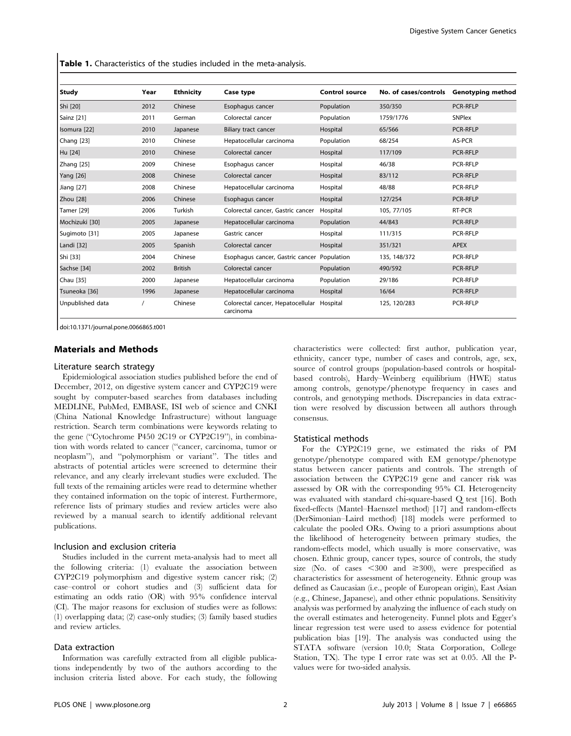Table 1. Characteristics of the studies included in the meta-analysis.

| Study            | Year | <b>Ethnicity</b> | Case type                                      | <b>Control source</b> | No. of cases/controls | <b>Genotyping method</b> |
|------------------|------|------------------|------------------------------------------------|-----------------------|-----------------------|--------------------------|
| Shi [20]         | 2012 | Chinese          | Esophagus cancer                               | Population            | 350/350               | <b>PCR-RFLP</b>          |
| Sainz [21]       | 2011 | German           | Colorectal cancer                              | Population            | 1759/1776             | SNPlex                   |
| Isomura [22]     | 2010 | Japanese         | Biliary tract cancer                           | Hospital              | 65/566                | <b>PCR-RFLP</b>          |
| Chang [23]       | 2010 | Chinese          | Hepatocellular carcinoma                       | Population            | 68/254                | AS-PCR                   |
| Hu [24]          | 2010 | Chinese          | Colorectal cancer                              | Hospital              | 117/109               | <b>PCR-RFLP</b>          |
| Zhang [25]       | 2009 | Chinese          | Esophagus cancer                               | Hospital              | 46/38                 | <b>PCR-RFLP</b>          |
| <b>Yang</b> [26] | 2008 | Chinese          | Colorectal cancer                              | Hospital              | 83/112                | <b>PCR-RFLP</b>          |
| Jiang [27]       | 2008 | Chinese          | Hepatocellular carcinoma                       | Hospital              | 48/88                 | <b>PCR-RFLP</b>          |
| Zhou [28]        | 2006 | Chinese          | Esophagus cancer                               | Hospital              | 127/254               | <b>PCR-RFLP</b>          |
| Tamer [29]       | 2006 | Turkish          | Colorectal cancer, Gastric cancer              | Hospital              | 105, 77/105           | RT-PCR                   |
| Mochizuki [30]   | 2005 | Japanese         | Hepatocellular carcinoma                       | Population            | 44/843                | <b>PCR-RFLP</b>          |
| Sugimoto [31]    | 2005 | Japanese         | Gastric cancer                                 | Hospital              | 111/315               | <b>PCR-RFLP</b>          |
| Landi [32]       | 2005 | Spanish          | Colorectal cancer                              | Hospital              | 351/321               | APEX                     |
| Shi [33]         | 2004 | Chinese          | Esophagus cancer, Gastric cancer               | Population            | 135, 148/372          | PCR-RFLP                 |
| Sachse [34]      | 2002 | <b>British</b>   | Colorectal cancer                              | Population            | 490/592               | <b>PCR-RFLP</b>          |
| Chau [35]        | 2000 | Japanese         | Hepatocellular carcinoma                       | Population            | 29/186                | <b>PCR-RFLP</b>          |
| Tsuneoka [36]    | 1996 | Japanese         | Hepatocellular carcinoma                       | Hospital              | 16/64                 | <b>PCR-RFLP</b>          |
| Unpublished data |      | Chinese          | Colorectal cancer, Hepatocellular<br>carcinoma | Hospital              | 125, 120/283          | <b>PCR-RFLP</b>          |

doi:10.1371/journal.pone.0066865.t001

# Materials and Methods

#### Literature search strategy

Epidemiological association studies published before the end of December, 2012, on digestive system cancer and CYP2C19 were sought by computer-based searches from databases including MEDLINE, PubMed, EMBASE, ISI web of science and CNKI (China National Knowledge Infrastructure) without language restriction. Search term combinations were keywords relating to the gene (''Cytochrome P450 2C19 or CYP2C19''), in combination with words related to cancer (''cancer, carcinoma, tumor or neoplasm''), and ''polymorphism or variant''. The titles and abstracts of potential articles were screened to determine their relevance, and any clearly irrelevant studies were excluded. The full texts of the remaining articles were read to determine whether they contained information on the topic of interest. Furthermore, reference lists of primary studies and review articles were also reviewed by a manual search to identify additional relevant publications.

#### Inclusion and exclusion criteria

Studies included in the current meta-analysis had to meet all the following criteria: (1) evaluate the association between CYP2C19 polymorphism and digestive system cancer risk; (2) case–control or cohort studies and (3) sufficient data for estimating an odds ratio (OR) with 95% confidence interval (CI). The major reasons for exclusion of studies were as follows: (1) overlapping data; (2) case-only studies; (3) family based studies and review articles.

#### Data extraction

Information was carefully extracted from all eligible publications independently by two of the authors according to the inclusion criteria listed above. For each study, the following characteristics were collected: first author, publication year, ethnicity, cancer type, number of cases and controls, age, sex, source of control groups (population-based controls or hospitalbased controls), Hardy–Weinberg equilibrium (HWE) status among controls, genotype/phenotype frequency in cases and controls, and genotyping methods. Discrepancies in data extraction were resolved by discussion between all authors through consensus.

#### Statistical methods

For the CYP2C19 gene, we estimated the risks of PM genotype/phenotype compared with EM genotype/phenotype status between cancer patients and controls. The strength of association between the CYP2C19 gene and cancer risk was assessed by OR with the corresponding 95% CI. Heterogeneity was evaluated with standard chi-square-based Q test [16]. Both fixed-effects (Mantel–Haenszel method) [17] and random-effects (DerSimonian–Laird method) [18] models were performed to calculate the pooled ORs. Owing to a priori assumptions about the likelihood of heterogeneity between primary studies, the random-effects model, which usually is more conservative, was chosen. Ethnic group, cancer types, source of controls, the study size (No. of cases  $\leq 300$  and  $\geq 300$ ), were prespecified as characteristics for assessment of heterogeneity. Ethnic group was defined as Caucasian (i.e., people of European origin), East Asian (e.g., Chinese, Japanese), and other ethnic populations. Sensitivity analysis was performed by analyzing the influence of each study on the overall estimates and heterogeneity. Funnel plots and Egger's linear regression test were used to assess evidence for potential publication bias [19]. The analysis was conducted using the STATA software (version 10.0; Stata Corporation, College Station, TX). The type I error rate was set at 0.05. All the Pvalues were for two-sided analysis.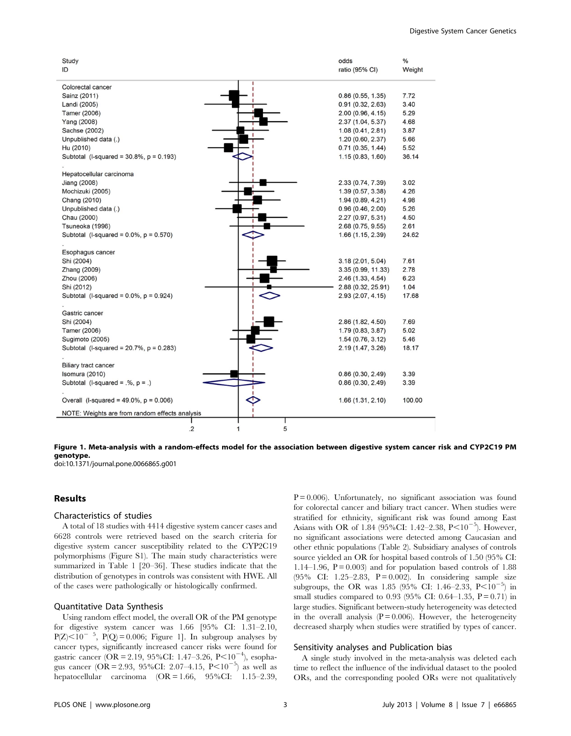| Study                                          | odds               | %      |
|------------------------------------------------|--------------------|--------|
| ID                                             | ratio (95% CI)     | Weight |
| Colorectal cancer                              |                    |        |
| Sainz (2011)                                   | 0.86(0.55, 1.35)   | 7.72   |
| Landi (2005)                                   | 0.91(0.32, 2.63)   | 3.40   |
| Tamer (2006)                                   | 2.00(0.96, 4.15)   | 5.29   |
| Yang (2008)                                    | 2.37(1.04, 5.37)   | 4.68   |
| Sachse (2002)                                  | 1.08(0.41, 2.81)   | 3.87   |
| Unpublished data (.)                           | 1.20(0.60, 2.37)   | 5.66   |
| Hu (2010)                                      | 0.71(0.35, 1.44)   | 5.52   |
| Subtotal (I-squared = $30.8\%$ , $p = 0.193$ ) | 1.15(0.83, 1.60)   | 36.14  |
|                                                |                    |        |
| Hepatocellular carcinoma                       |                    |        |
| Jiang (2008)                                   | 2.33 (0.74, 7.39)  | 3.02   |
| Mochizuki (2005)                               | 1.39 (0.57, 3.38)  | 4.26   |
| Chang (2010)                                   | 1.94 (0.89, 4.21)  | 4.98   |
| Unpublished data (.)                           | 0.96(0.46, 2.00)   | 5.26   |
| Chau (2000)                                    | 2.27 (0.97, 5.31)  | 4.50   |
| Tsuneoka (1996)                                | 2.68 (0.75, 9.55)  | 2.61   |
| Subtotal (I-squared = $0.0\%$ , $p = 0.570$ )  | 1.66(1.15, 2.39)   | 24.62  |
| Esophagus cancer                               |                    |        |
| Shi (2004)                                     | 3.18(2.01, 5.04)   | 7.61   |
| Zhang (2009)                                   | 3.35 (0.99, 11.33) | 2.78   |
| Zhou (2006)                                    | 2.46(1.33, 4.54)   | 6.23   |
| Shi (2012)                                     | 2.88 (0.32, 25.91) | 1.04   |
| Subtotal (I-squared = $0.0\%$ , $p = 0.924$ )  | 2.93 (2.07, 4.15)  | 17.68  |
| Gastric cancer                                 |                    |        |
| Shi (2004)                                     | 2.86 (1.82, 4.50)  | 7.69   |
| Tamer (2006)                                   | 1.79 (0.83, 3.87)  | 5.02   |
| Sugimoto (2005)                                | 1.54(0.76, 3.12)   | 5.46   |
| Subtotal (I-squared = $20.7%$ , $p = 0.283$ )  | 2.19 (1.47, 3.26)  | 18.17  |
| <b>Biliary tract cancer</b>                    |                    |        |
| Isomura (2010)                                 | 0.86(0.30, 2.49)   | 3.39   |
| Subtotal (I-squared = $.%$ , $p = .$ )         | 0.86(0.30, 2.49)   | 3.39   |
|                                                |                    |        |
| Overall (I-squared = $49.0\%$ , $p = 0.006$ )  | 1.66 (1.31, 2.10)  | 100.00 |
| NOTE: Weights are from random effects analysis |                    |        |
| $\overline{2}$<br>5                            |                    |        |

Figure 1. Meta-analysis with a random-effects model for the association between digestive system cancer risk and CYP2C19 PM genotype.

doi:10.1371/journal.pone.0066865.g001

# Results

### Characteristics of studies

A total of 18 studies with 4414 digestive system cancer cases and 6628 controls were retrieved based on the search criteria for digestive system cancer susceptibility related to the CYP2C19 polymorphisms (Figure S1). The main study characteristics were summarized in Table 1 [20–36]. These studies indicate that the distribution of genotypes in controls was consistent with HWE. All of the cases were pathologically or histologically confirmed.

#### Quantitative Data Synthesis

Using random effect model, the overall OR of the PM genotype for digestive system cancer was 1.66 [95% CI: 1.31–2.10,  $P(Z) \le 10^{-5}$ ,  $P(Q) = 0.006$ ; Figure 1]. In subgroup analyses by cancer types, significantly increased cancer risks were found for gastric cancer (OR = 2.19, 95%CI: 1.47–3.26, P<10<sup>-4</sup>), esophagus cancer (OR = 2.93, 95%CI: 2.07–4.15, P<10<sup>-5</sup>) as well as hepatocellular carcinoma (OR = 1.66, 95%CI: 1.15–2.39,

 $P = 0.006$ ). Unfortunately, no significant association was found for colorectal cancer and biliary tract cancer. When studies were stratified for ethnicity, significant risk was found among East Asians with OR of 1.84 (95%CI: 1.42-2.38,  $P<10^{-5}$ ). However, no significant associations were detected among Caucasian and other ethnic populations (Table 2). Subsidiary analyses of controls source yielded an OR for hospital based controls of 1.50 (95% CI: 1.14–1.96,  $P = 0.003$  and for population based controls of 1.88 (95% CI: 1.25–2.83,  $P = 0.002$ ). In considering sample size subgroups, the OR was 1.85 (95% CI: 1.46-2.33,  $P<10^{-5}$ ) in small studies compared to 0.93 (95% CI: 0.64–1.35,  $P = 0.71$ ) in large studies. Significant between-study heterogeneity was detected in the overall analysis  $(P = 0.006)$ . However, the heterogeneity decreased sharply when studies were stratified by types of cancer.

#### Sensitivity analyses and Publication bias

A single study involved in the meta-analysis was deleted each time to reflect the influence of the individual dataset to the pooled ORs, and the corresponding pooled ORs were not qualitatively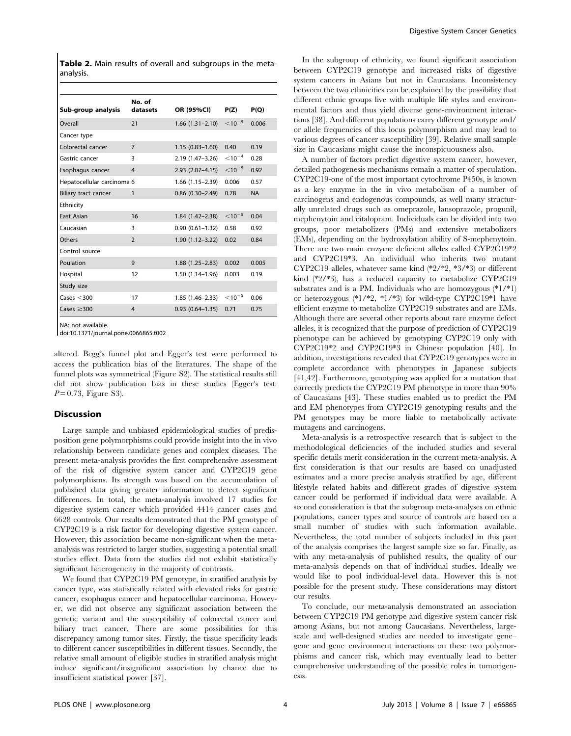Table 2. Main results of overall and subgroups in the metaanalysis.

| Sub-group analysis          | No. of<br>datasets | OR (95%CI)             | P(Z)                 | P(Q)      |
|-----------------------------|--------------------|------------------------|----------------------|-----------|
| Overall                     | 21                 | $1.66(1.31-2.10)$      | $< 10^{-5}$          | 0.006     |
| Cancer type                 |                    |                        |                      |           |
| Colorectal cancer           | $\overline{7}$     | $1.15(0.83 - 1.60)$    | 0.40                 | 0.19      |
| Gastric cancer              | 3                  | $2.19(1.47 - 3.26)$    | $<$ 10 <sup>-4</sup> | 0.28      |
| Esophagus cancer            | $\overline{4}$     | $2.93(2.07-4.15)$      | $<$ 10 <sup>-5</sup> | 0.92      |
| Hepatocellular carcinoma 6  |                    | $1.66(1.15-2.39)$      | 0.006                | 0.57      |
| <b>Biliary tract cancer</b> | $\mathbf{1}$       | $0.86(0.30-2.49)$      | 0.78                 | <b>NA</b> |
| Ethnicity                   |                    |                        |                      |           |
| East Asian                  | 16                 | $1.84(1.42 - 2.38)$    | $< 10^{-5}$          | 0.04      |
| Caucasian                   | 3                  | $0.90(0.61 - 1.32)$    | 0.58                 | 0.92      |
| Others                      | $\overline{2}$     | $1.90(1.12 - 3.22)$    | 0.02                 | 0.84      |
| Control source              |                    |                        |                      |           |
| Poulation                   | 9                  | $1.88(1.25 - 2.83)$    | 0.002                | 0.005     |
| Hospital                    | 12                 | $1.50(1.14-1.96)$      | 0.003                | 0.19      |
| Study size                  |                    |                        |                      |           |
| $\text{Case} s \leq 300$    | 17                 | $1.85(1.46 - 2.33)$    | $< 10^{-5}$          | 0.06      |
| $\text{Case} s \geq 300$    | $\overline{4}$     | $0.93$ $(0.64 - 1.35)$ | 0.71                 | 0.75      |

NA: not available.

doi:10.1371/journal.pone.0066865.t002

altered. Begg's funnel plot and Egger's test were performed to access the publication bias of the literatures. The shape of the funnel plots was symmetrical (Figure S2). The statistical results still did not show publication bias in these studies (Egger's test:  $P = 0.73$ , Figure S3).

#### **Discussion**

Large sample and unbiased epidemiological studies of predisposition gene polymorphisms could provide insight into the in vivo relationship between candidate genes and complex diseases. The present meta-analysis provides the first comprehensive assessment of the risk of digestive system cancer and CYP2C19 gene polymorphisms. Its strength was based on the accumulation of published data giving greater information to detect significant differences. In total, the meta-analysis involved 17 studies for digestive system cancer which provided 4414 cancer cases and 6628 controls. Our results demonstrated that the PM genotype of CYP2C19 is a risk factor for developing digestive system cancer. However, this association became non-significant when the metaanalysis was restricted to larger studies, suggesting a potential small studies effect. Data from the studies did not exhibit statistically significant heterogeneity in the majority of contrasts.

We found that CYP2C19 PM genotype, in stratified analysis by cancer type, was statistically related with elevated risks for gastric cancer, esophagus cancer and hepatocellular carcinoma. However, we did not observe any significant association between the genetic variant and the susceptibility of colorectal cancer and biliary tract cancer. There are some possibilities for this discrepancy among tumor sites. Firstly, the tissue specificity leads to different cancer susceptibilities in different tissues. Secondly, the relative small amount of eligible studies in stratified analysis might induce significant/insignificant association by chance due to insufficient statistical power [37].

In the subgroup of ethnicity, we found significant association between CYP2C19 genotype and increased risks of digestive system cancers in Asians but not in Caucasians. Inconsistency between the two ethnicities can be explained by the possibility that different ethnic groups live with multiple life styles and environmental factors and thus yield diverse gene-environment interactions [38]. And different populations carry different genotype and/ or allele frequencies of this locus polymorphism and may lead to various degrees of cancer susceptibility [39]. Relative small sample size in Caucasians might cause the inconspicuousness also.

A number of factors predict digestive system cancer, however, detailed pathogenesis mechanisms remain a matter of speculation. CYP2C19-one of the most important cytochrome P450s, is known as a key enzyme in the in vivo metabolism of a number of carcinogens and endogenous compounds, as well many structurally unrelated drugs such as omeprazole, lansoprazole, progunil, mephenytoin and citalopram. Individuals can be divided into two groups, poor metabolizers (PMs) and extensive metabolizers (EMs), depending on the hydroxylation ability of S-mephenytoin. There are two main enzyme deficient alleles called CYP2C19\*2 and CYP2C19\*3. An individual who inherits two mutant CYP2C19 alleles, whatever same kind (\*2/\*2, \*3/\*3) or different kind (\*2/\*3), has a reduced capacity to metabolize CYP2C19 substrates and is a PM. Individuals who are homozygous  $(*1/*1)$ or heterozygous (\*1/\*2, \*1/\*3) for wild-type CYP2C19\*1 have efficient enzyme to metabolize CYP2C19 substrates and are EMs. Although there are several other reports about rare enzyme defect alleles, it is recognized that the purpose of prediction of CYP2C19 phenotype can be achieved by genotyping CYP2C19 only with CYP2C19\*2 and CYP2C19\*3 in Chinese population [40]. In addition, investigations revealed that CYP2C19 genotypes were in complete accordance with phenotypes in Japanese subjects [41,42]. Furthermore, genotyping was applied for a mutation that correctly predicts the CYP2C19 PM phenotype in more than 90% of Caucasians [43]. These studies enabled us to predict the PM and EM phenotypes from CYP2C19 genotyping results and the PM genotypes may be more liable to metabolically activate mutagens and carcinogens.

Meta-analysis is a retrospective research that is subject to the methodological deficiencies of the included studies and several specific details merit consideration in the current meta-analysis. A first consideration is that our results are based on unadjusted estimates and a more precise analysis stratified by age, different lifestyle related habits and different grades of digestive system cancer could be performed if individual data were available. A second consideration is that the subgroup meta-analyses on ethnic populations, cancer types and source of controls are based on a small number of studies with such information available. Nevertheless, the total number of subjects included in this part of the analysis comprises the largest sample size so far. Finally, as with any meta-analysis of published results, the quality of our meta-analysis depends on that of individual studies. Ideally we would like to pool individual-level data. However this is not possible for the present study. These considerations may distort our results.

To conclude, our meta-analysis demonstrated an association between CYP2C19 PM genotype and digestive system cancer risk among Asians, but not among Caucasians. Nevertheless, largescale and well-designed studies are needed to investigate gene– gene and gene–environment interactions on these two polymorphisms and cancer risk, which may eventually lead to better comprehensive understanding of the possible roles in tumorigenesis.